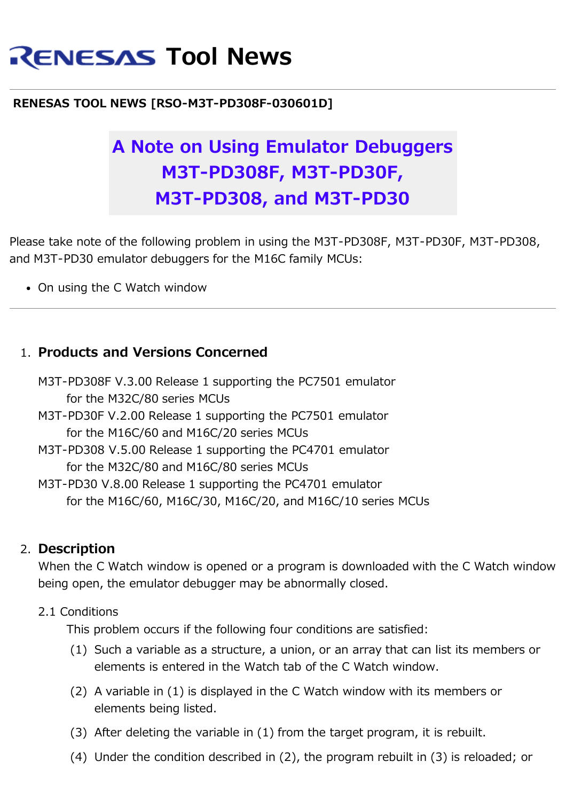# **RENESAS Tool News**

#### **RENESAS TOOL NEWS [RSO-M3T-PD308F-030601D]**

## **A Note on Using Emulator Debuggers M3T-PD308F, M3T-PD30F, M3T-PD308, and M3T-PD30**

Please take note of the following problem in using the M3T-PD308F, M3T-PD30F, M3T-PD308, and M3T-PD30 emulator debuggers for the M16C family MCUs:

• On using the C Watch window

#### 1. **Products and Versions Concerned**

- M3T-PD308F V.3.00 Release 1 supporting the PC7501 emulator for the M32C/80 series MCUs
- M3T-PD30F V.2.00 Release 1 supporting the PC7501 emulator for the M16C/60 and M16C/20 series MCUs
- M3T-PD308 V.5.00 Release 1 supporting the PC4701 emulator for the M32C/80 and M16C/80 series MCUs
- M3T-PD30 V.8.00 Release 1 supporting the PC4701 emulator for the M16C/60, M16C/30, M16C/20, and M16C/10 series MCUs

### 2. **Description**

When the C Watch window is opened or a program is downloaded with the C Watch window being open, the emulator debugger may be abnormally closed.

#### 2.1 Conditions

This problem occurs if the following four conditions are satisfied:

- (1) Such a variable as a structure, a union, or an array that can list its members or elements is entered in the Watch tab of the C Watch window.
- (2) A variable in (1) is displayed in the C Watch window with its members or elements being listed.
- (3) After deleting the variable in (1) from the target program, it is rebuilt.
- (4) Under the condition described in (2), the program rebuilt in (3) is reloaded; or